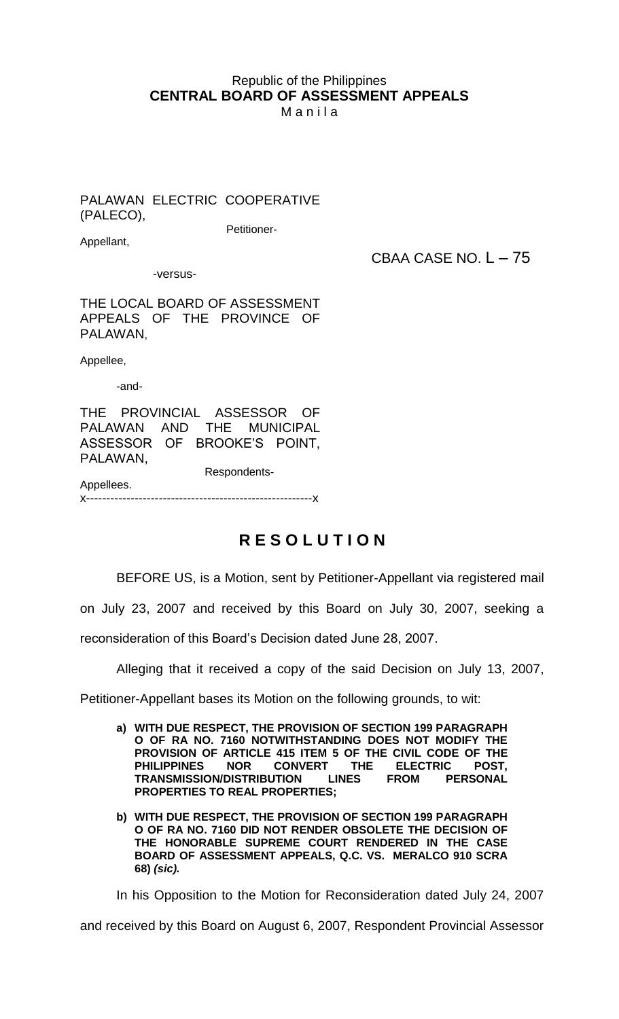## Republic of the Philippines **CENTRAL BOARD OF ASSESSMENT APPEALS**

M a n i l a

PALAWAN ELECTRIC COOPERATIVE (PALECO),

Petitioner-

Appellant,

CBAA CASE NO. L – 75

-versus-

THE LOCAL BOARD OF ASSESSMENT APPEALS OF THE PROVINCE OF PALAWAN,

Appellee,

-and-

THE PROVINCIAL ASSESSOR OF PALAWAN AND THE MUNICIPAL ASSESSOR OF BROOKE'S POINT, PALAWAN,

 Respondents-Appellees.

x--------------------------------------------------------x

## **R E S O L U T I O N**

BEFORE US, is a Motion, sent by Petitioner-Appellant via registered mail

on July 23, 2007 and received by this Board on July 30, 2007, seeking a

reconsideration of this Board's Decision dated June 28, 2007.

Alleging that it received a copy of the said Decision on July 13, 2007,

Petitioner-Appellant bases its Motion on the following grounds, to wit:

- **a) WITH DUE RESPECT, THE PROVISION OF SECTION 199 PARAGRAPH O OF RA NO. 7160 NOTWITHSTANDING DOES NOT MODIFY THE PROVISION OF ARTICLE 415 ITEM 5 OF THE CIVIL CODE OF THE PHILIPPINES NOR CONVERT THE ELECTRIC POST, TRANSMISSION/DISTRIBUTION LINES FROM PERSONAL PROPERTIES TO REAL PROPERTIES;**
- **b) WITH DUE RESPECT, THE PROVISION OF SECTION 199 PARAGRAPH O OF RA NO. 7160 DID NOT RENDER OBSOLETE THE DECISION OF THE HONORABLE SUPREME COURT RENDERED IN THE CASE BOARD OF ASSESSMENT APPEALS, Q.C. VS. MERALCO 910 SCRA 68)** *(sic).*

In his Opposition to the Motion for Reconsideration dated July 24, 2007

and received by this Board on August 6, 2007, Respondent Provincial Assessor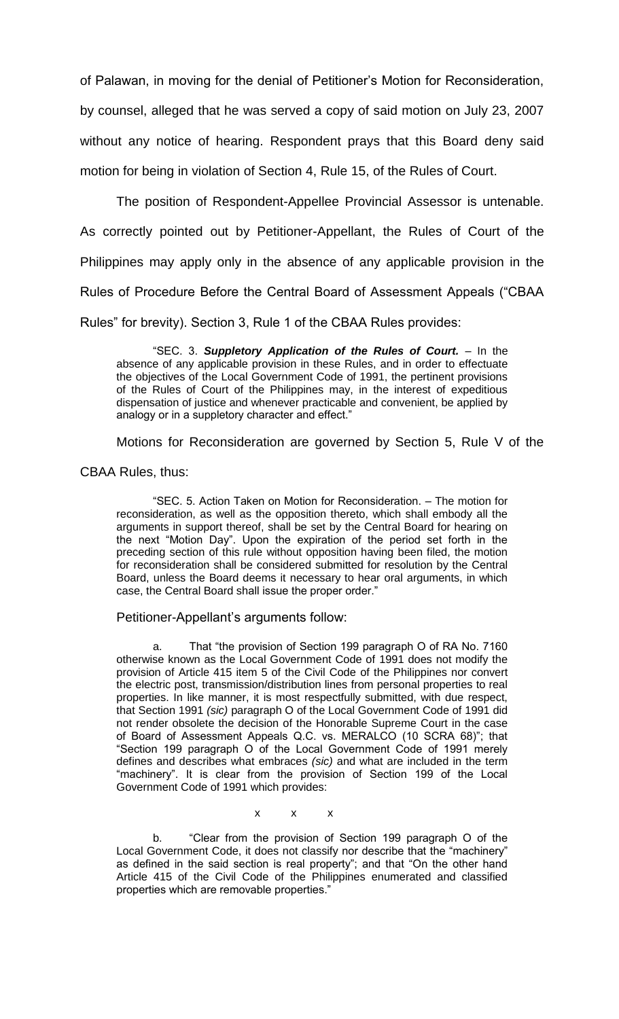of Palawan, in moving for the denial of Petitioner's Motion for Reconsideration, by counsel, alleged that he was served a copy of said motion on July 23, 2007 without any notice of hearing. Respondent prays that this Board deny said motion for being in violation of Section 4, Rule 15, of the Rules of Court.

The position of Respondent-Appellee Provincial Assessor is untenable. As correctly pointed out by Petitioner-Appellant, the Rules of Court of the Philippines may apply only in the absence of any applicable provision in the Rules of Procedure Before the Central Board of Assessment Appeals ("CBAA Rules" for brevity). Section 3, Rule 1 of the CBAA Rules provides:

"SEC. 3. *Suppletory Application of the Rules of Court.* – In the absence of any applicable provision in these Rules, and in order to effectuate the objectives of the Local Government Code of 1991, the pertinent provisions of the Rules of Court of the Philippines may, in the interest of expeditious dispensation of justice and whenever practicable and convenient, be applied by analogy or in a suppletory character and effect."

Motions for Reconsideration are governed by Section 5, Rule V of the

CBAA Rules, thus:

"SEC. 5. Action Taken on Motion for Reconsideration. – The motion for reconsideration, as well as the opposition thereto, which shall embody all the arguments in support thereof, shall be set by the Central Board for hearing on the next "Motion Day". Upon the expiration of the period set forth in the preceding section of this rule without opposition having been filed, the motion for reconsideration shall be considered submitted for resolution by the Central Board, unless the Board deems it necessary to hear oral arguments, in which case, the Central Board shall issue the proper order."

Petitioner-Appellant's arguments follow:

a. That "the provision of Section 199 paragraph O of RA No. 7160 otherwise known as the Local Government Code of 1991 does not modify the provision of Article 415 item 5 of the Civil Code of the Philippines nor convert the electric post, transmission/distribution lines from personal properties to real properties. In like manner, it is most respectfully submitted, with due respect, that Section 1991 *(sic)* paragraph O of the Local Government Code of 1991 did not render obsolete the decision of the Honorable Supreme Court in the case of Board of Assessment Appeals Q.C. vs. MERALCO (10 SCRA 68)"; that "Section 199 paragraph O of the Local Government Code of 1991 merely defines and describes what embraces *(sic)* and what are included in the term "machinery". It is clear from the provision of Section 199 of the Local Government Code of 1991 which provides:

x x x

b. "Clear from the provision of Section 199 paragraph O of the Local Government Code, it does not classify nor describe that the "machinery" as defined in the said section is real property"; and that "On the other hand Article 415 of the Civil Code of the Philippines enumerated and classified properties which are removable properties."